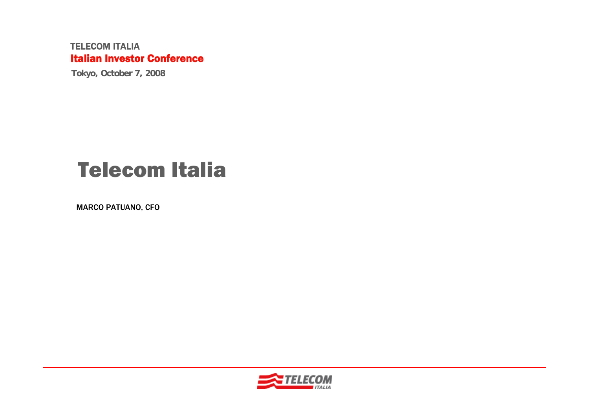#### TELECOM ITALIAItalian Investor Conference

**Tokyo, October 7, 2008**

# Telecom Italia

MARCO PATUANO, CFO

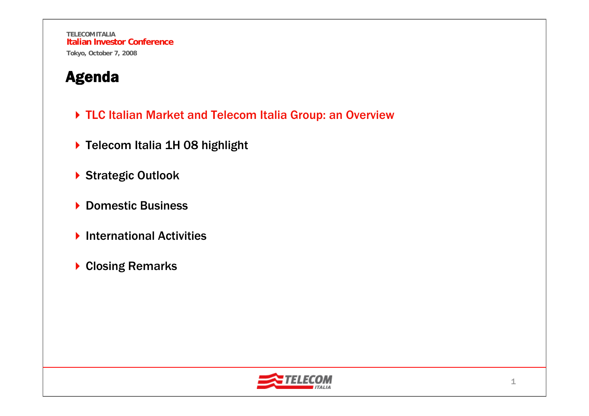- ▶ TLC Italian Market and Telecom Italia Group: an Overview
- ▶ Telecom Italia 1H 08 highlight
- ▶ Strategic Outlook
- ▶ Domestic Business
- ▶ International Activities
- ▶ Closing Remarks

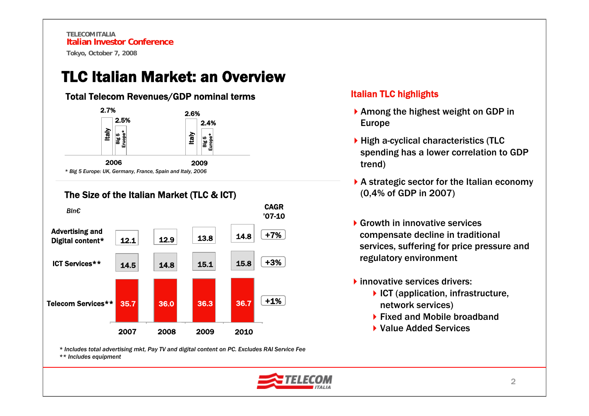TLC Italian Market: an Overview

#### Total Telecom Revenues/GDP nominal terms



The Size of the Italian Market (TLC & ICT)



*\* Includes total advertising mkt, Pay TV and digital content on PC. Excludes RAI Service Fee \*\* Includes equipment*

#### Italian TLC highlights

- $\blacktriangleright$  Among the highest weight on GDP in Europe
- ▶ High a-cyclical characteristics (TLC spending has a lower correlation to GDP trend)
- ▶ A strategic sector for the Italian economy (0,4% of GDP in 2007)
- Growth in innovative services compensate decline in traditional services, suffering for price pressure and regulatory environment
- **I** innovative services drivers:
	- $\blacktriangleright$  ICT (application, infrastructure, network services)
	- ▶ Fixed and Mobile broadband
	- ▶ Value Added Services

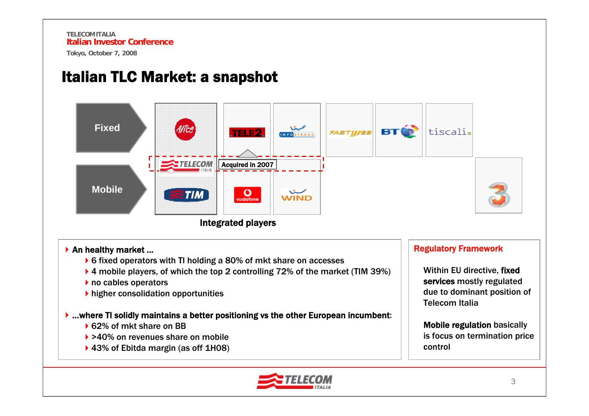### Italian TLC Market: a snapshot

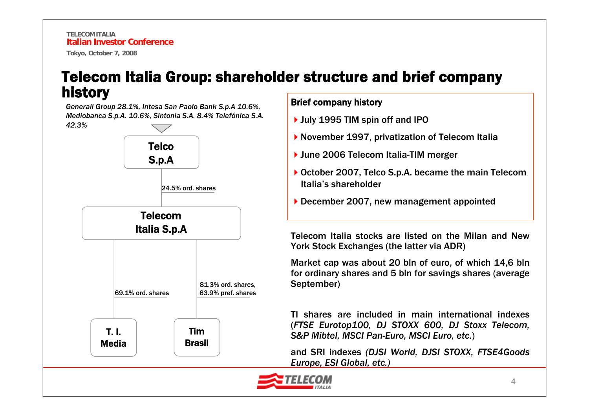#### Telecom Italia Group: shareholder structure and brief company history

*Generali Group 28.1%, Intesa San Paolo Bank S.p.A 10.6%, Mediobanca S.p.A. 10.6%, Sintonia S.A. 8.4% Telefónica S.A. 42.3%*



#### Brief company history

- ▶ July 1995 TIM spin off and IPO
- ▶ November 1997, privatization of Telecom Italia
- ▶ June 2006 Telecom Italia-TIM merger
- ▶ October 2007, Telco S.p.A. became the main Telecom Italia's shareholder
- ▶ December 2007, new management appointed

Telecom Italia stocks are listed on the Milan and New York Stock Exchanges (the latter via ADR)

Market cap was about 20 bln of euro, of which 14,6 bln for ordinary shares and 5 bln for savings shares (average September)

TI shares are included in main international indexes(*FTSE Eurotop100, DJ STOXX 600, DJ Stoxx Telecom, S&P Mibtel, MSCI Pan-Euro, MSCI Euro, etc.*)

and SRI indexes *(DJSI World, DJSI STOXX, FTSE4Goods Europe, ESI Global, etc.)*

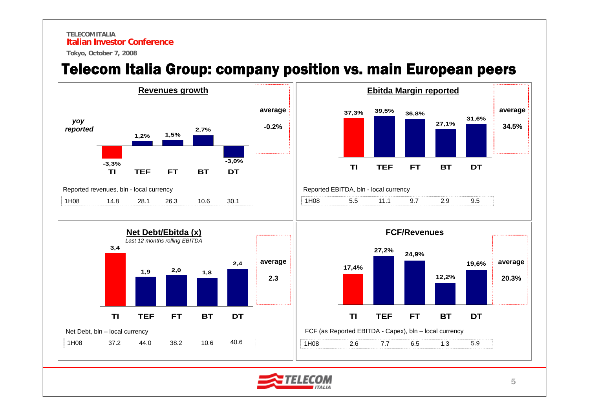#### **TELECOM ITALIAItalian Investor Conference**

**Tokyo, October 7, 2008**

#### Telecom Italia Group: company position vs. main European peers



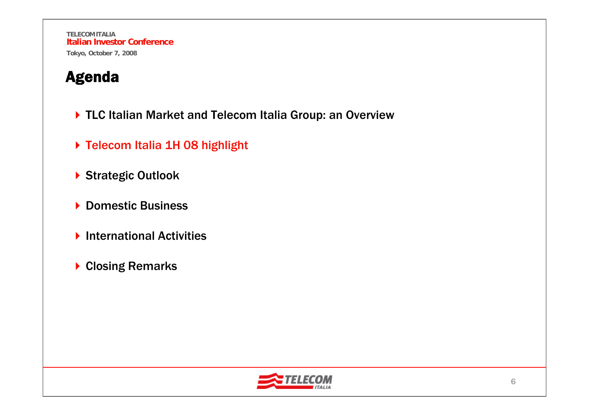- ▶ TLC Italian Market and Telecom Italia Group: an Overview
- ▶ Telecom Italia 1H 08 highlight
- ▶ Strategic Outlook
- ▶ Domestic Business
- ▶ International Activities
- ▶ Closing Remarks

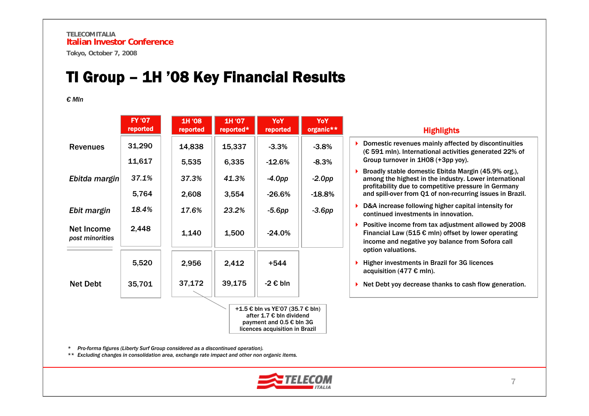#### TI Group – 1H '08 Key Financial Results

*€ Mln*

|                                                                                          | <b>FY '07</b><br>reported | 1H '08<br>reported | 1H '07<br>reported* | YoY<br>reported | YoY<br>organic** | <b>Highlights</b>                                                                                                                                                       |
|------------------------------------------------------------------------------------------|---------------------------|--------------------|---------------------|-----------------|------------------|-------------------------------------------------------------------------------------------------------------------------------------------------------------------------|
| <b>Revenues</b>                                                                          | 31,290                    | 14,838             | 15,337              | $-3.3%$         | $-3.8%$          | Domestic revenues mainly affected by discontinuities<br>(€ 591 mln). International activities generated 22% of                                                          |
|                                                                                          | 11,617                    | 5,535              | 6,335               | $-12.6%$        | $-8.3%$          | Group turnover in 1H08 (+3pp yoy).                                                                                                                                      |
| Ebitda margin                                                                            | 37.1%                     | 37.3%              | 41.3%               | -4.0pp          | $-2.0$ pp        | Broadly stable domestic Ebitda Margin (45.9% org.),<br>among the highest in the industry. Lower international<br>profitability due to competitive pressure in Germany   |
|                                                                                          | 5,764                     | 2,608              | 3,554               | $-26.6%$        | $-18.8%$         | and spill-over from Q1 of non-recurring issues in Brazil.                                                                                                               |
| Ebit margin                                                                              | 18.4%                     | 17.6%              | 23.2%               | $-5.6pp$        | $-3.6pp$         | D&A increase following higher capital intensity for<br>continued investments in innovation.                                                                             |
| Net Income<br>post minorities                                                            | 2,448                     | 1,140              | 1,500               | $-24.0\%$       |                  | Positive income from tax adjustment allowed by 2008<br>Financial Law (515 $\epsilon$ mln) offset by lower operating<br>income and negative yoy balance from Sofora call |
|                                                                                          | 5,520                     | 2,956              | 2,412               | $+544$          |                  | option valuations.<br>Higher investments in Brazil for 3G licences                                                                                                      |
|                                                                                          |                           |                    |                     |                 |                  | acquisition (477 $\epsilon$ mln).                                                                                                                                       |
| <b>Net Debt</b>                                                                          | 35,701                    | 37,172             | 39,175              | -2 € bln        |                  | Net Debt yoy decrease thanks to cash flow generation.                                                                                                                   |
| +1.5 € bln vs YE'07 (35.7 € bln)<br>after 1.7 € bln dividend<br>payment and 0.5 € bln 3G |                           |                    |                     |                 |                  |                                                                                                                                                                         |

*\* Pro-forma figures (Liberty Surf Group considered as a discontinued operation).*

*\*\* Excluding changes in consolidation area, exchange rate impact and other non organic items.* 



licences acquisition in Brazil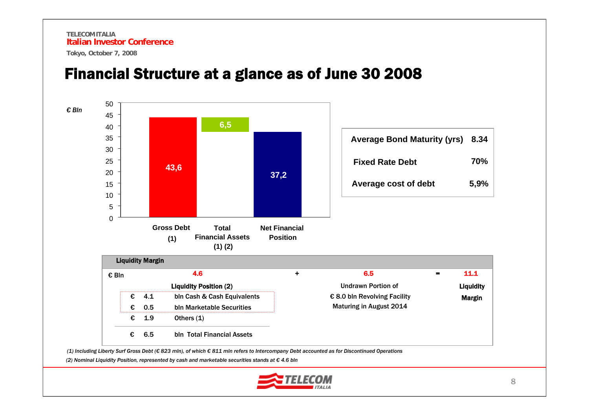**TELECOM ITALIAItalian Investor Conference**

**Tokyo, October 7, 2008**



#### Financial Structure at a glance as of June 30 2008

(1) Including Liberty Surf Gross Debt (€ 823 mln), of which € 811 mln refers to Intercompany Debt accounted as for Discontinued Operations

*(2) Nominal Liquidity Position, represented by cash and marketable securities stands at € 4.6 bln*

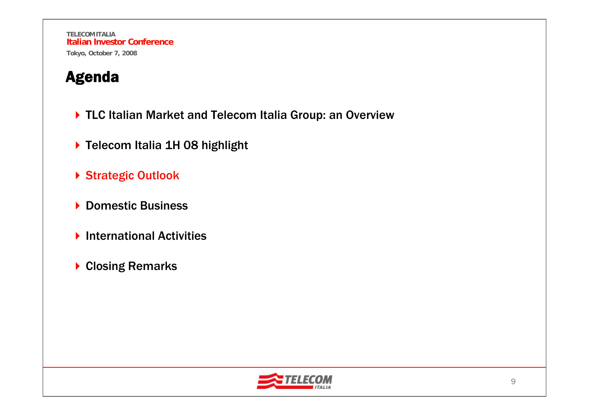- ▶ TLC Italian Market and Telecom Italia Group: an Overview
- ▶ Telecom Italia 1H 08 highlight
- ▶ Strategic Outlook
- ▶ Domestic Business
- ▶ International Activities
- ▶ Closing Remarks

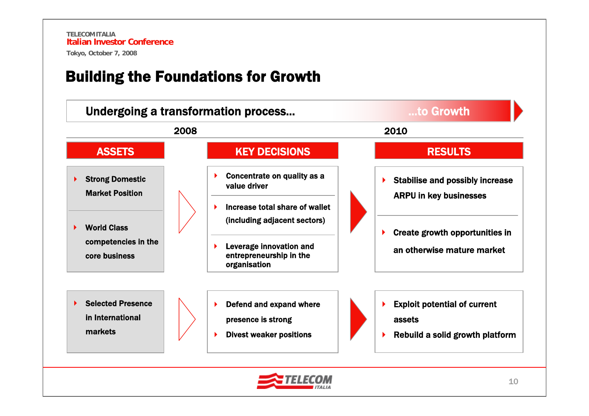#### Building the Foundations for Growth

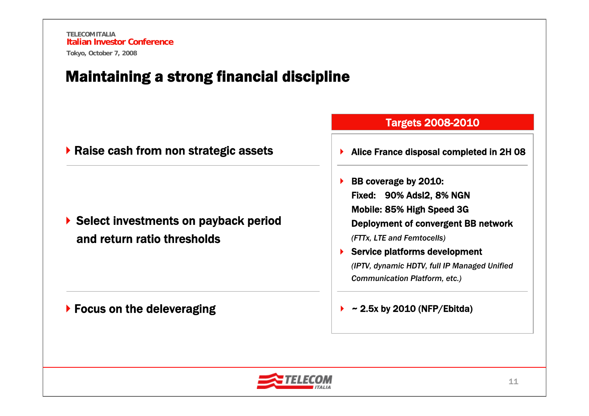#### Maintaining a strong financial discipline

|  |  |  |  |  | ▶ Raise cash from non strategic assets |  |
|--|--|--|--|--|----------------------------------------|--|
|--|--|--|--|--|----------------------------------------|--|

▶ Select investments on payback period and return ratio thresholds

▶ Focus on the deleveraging

|  | <b>Targets 2008-2010</b> |  |
|--|--------------------------|--|
|  |                          |  |
|  |                          |  |

- $\blacktriangleright$ Alice France disposal completed in 2H 08
- $\blacktriangleright$  BB coverage by 2010: Fixed: 90% Adsl2, 8% NGN Mobile: 85% High Speed 3G Deployment of convergent BB network *(FTTx, LTE and Femtocells)* ▶ Service platforms development *(IPTV, dynamic HDTV, full IP Managed Unified Communication Platform, etc.)*

#### $\blacktriangleright$ ~ 2.5x by 2010 (NFP/Ebitda)

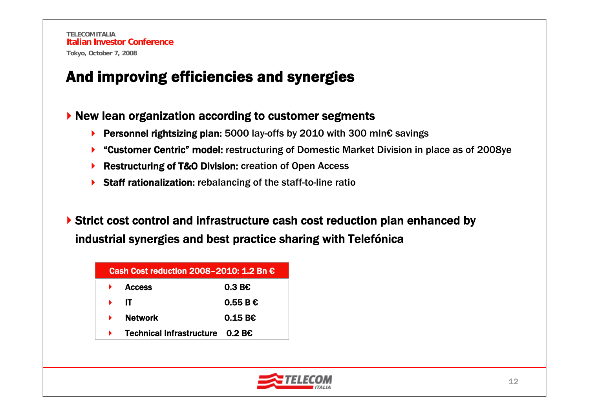#### And improving efficiencies and synergies

#### ▶ New lean organization according to customer segments

- Personnel rightsizing plan: 5000 lay-offs by 2010 with 300 mln€ savings
- ▶ "Customer Centric" model: restructuring of Domestic Market Division in place as of 2008ye
- ▶ Restructuring of T&O Division: creation of Open Access
- ▶ Staff rationalization: rebalancing of the staff-to-line ratio

▶ Strict cost control and infrastructure cash cost reduction plan enhanced by industrial synergies and best practice sharing with Telefónica

| Cash Cost reduction 2008-2010: 1.2 Bn $\epsilon$ |   |                                          |                 |  |
|--------------------------------------------------|---|------------------------------------------|-----------------|--|
|                                                  |   | <b>Access</b>                            | $0.3 B\epsilon$ |  |
|                                                  | ь | -IT                                      | 0.55BE          |  |
|                                                  | ь | <b>Network</b>                           | 0.15B           |  |
|                                                  |   | Technical Infrastructure $0.2 B\epsilon$ |                 |  |

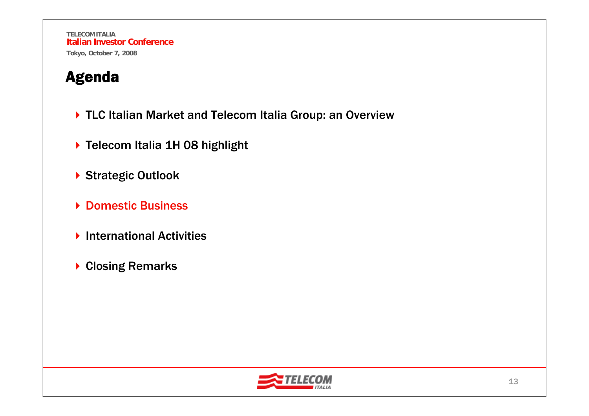- ▶ TLC Italian Market and Telecom Italia Group: an Overview
- ▶ Telecom Italia 1H 08 highlight
- ▶ Strategic Outlook
- ▶ Domestic Business
- ▶ International Activities
- ▶ Closing Remarks

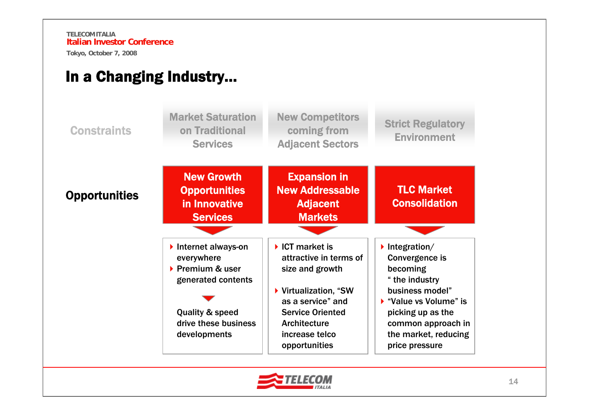#### In a Changing Industry…



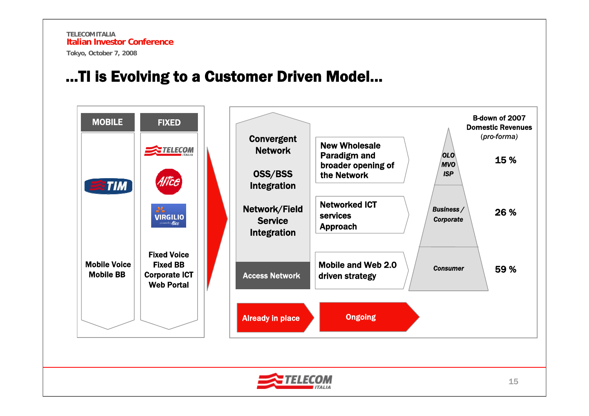#### …TI is Evolving to a Customer Driven Model…

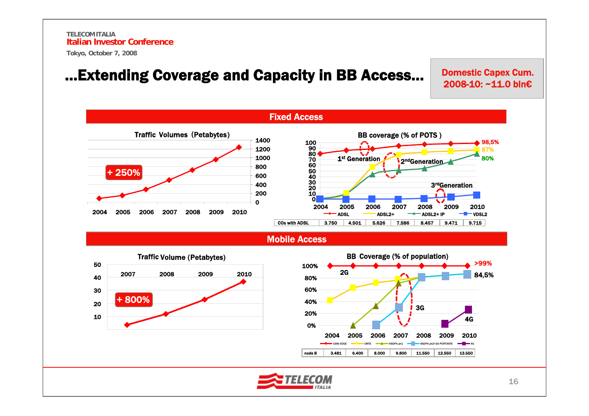…Extending Coverage and Capacity in BB Access…

Domestic Capex Cum. 2008-10: ~11.0 bln€

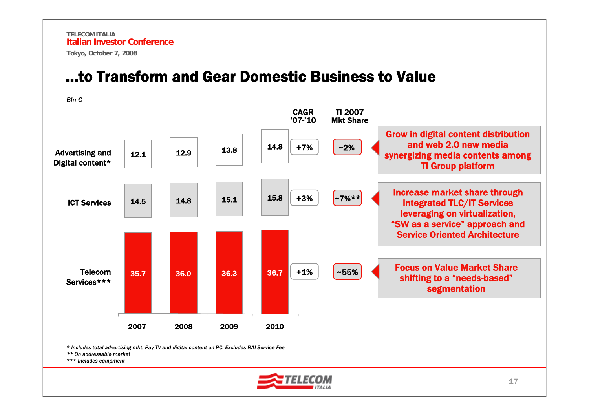#### …to Transform and Gear Domestic Business to Value

TelecomServices\*\*\*ICT ServicesAdvertising and Digital content\* CAGR '07-'10+7%+3%35.7 36.0 36.3 36.7 +1% 14.5 14.8 15.1 15.8 12.1 $\begin{array}{|c|c|c|c|c|}\hline \texttt{1} & \texttt{1} & \texttt{1} & \texttt{1} & \texttt{1} & \texttt{1} & \texttt{1} & \texttt{1} & \texttt{1} & \texttt{1} & \texttt{1} & \texttt{1} & \texttt{1} & \texttt{1} & \texttt{1} & \texttt{1} & \texttt{1} & \texttt{1} & \texttt{1} & \texttt{1} & \texttt{1} & \texttt{1} & \texttt{1} & \texttt{1} & \texttt{1} & \texttt{1} & \texttt{1} & \texttt{1} & \texttt{1$ 2007 2008 2009 2010Focus on Value Market Share shifting to a "needs-based" segmentation Increase market share through integrated TLC/IT Services leveraging on virtualization, "SW as a service" approach and Service Oriented Architecture Grow in digital content distribution and web 2.0 new media synergizing media contents among TI Group platform *Bln*  $€$ TI 2007 Mkt Share~2%  $-7\%**$ ~55%

*\* Includes total advertising mkt, Pay TV and digital content on PC. Excludes RAI Service Fee* 

*\*\* On addressable market*

*\*\*\* Includes equipment*

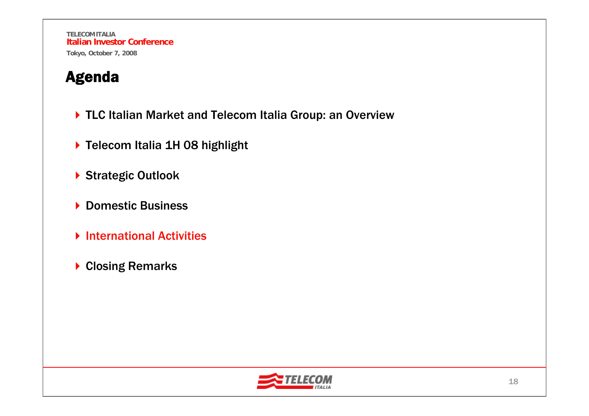- ▶ TLC Italian Market and Telecom Italia Group: an Overview
- ▶ Telecom Italia 1H 08 highlight
- ▶ Strategic Outlook
- ▶ Domestic Business
- **▶ International Activities**
- ▶ Closing Remarks

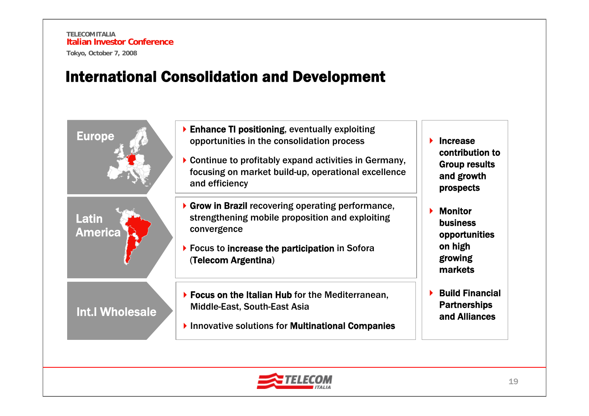Latin

America

Int.l Wholesale

#### International Consolidation and Development

- Europe Enhance TI positioning, eventually exploiting Europe opportunities in the consolidation process
	- Continue to profitably expand activities in Germany, focusing on market build-up, operational excellence and efficiency
	- $\blacktriangleright$  Grow in Brazil recovering operating performance, strengthening mobile proposition and exploiting convergence
	- ▶ Focus to increase the participation in Sofora (Telecom Argentina)
	- Focus on the Italian Hub for the Mediterranean, Middle-East, South-East Asia
	- ▶ Innovative solutions for Multinational Companies
- $\blacktriangleright$  Increase contribution to Group results and growth prospects
- ▶ Monitor business opportunities on high growing markets
- ▶ Build Financial **Partnerships** and Alliances

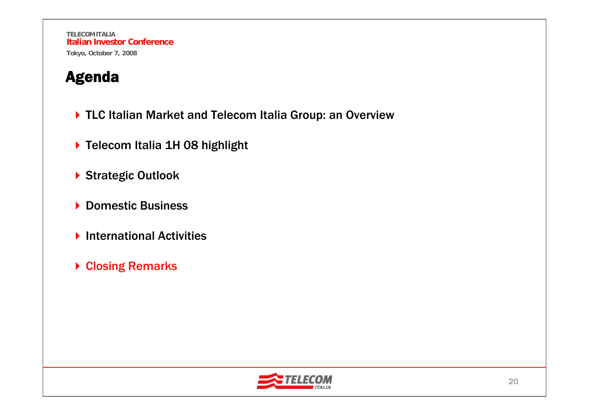- ▶ TLC Italian Market and Telecom Italia Group: an Overview
- ▶ Telecom Italia 1H 08 highlight
- ▶ Strategic Outlook
- ▶ Domestic Business
- ▶ International Activities
- **▶ Closing Remarks**